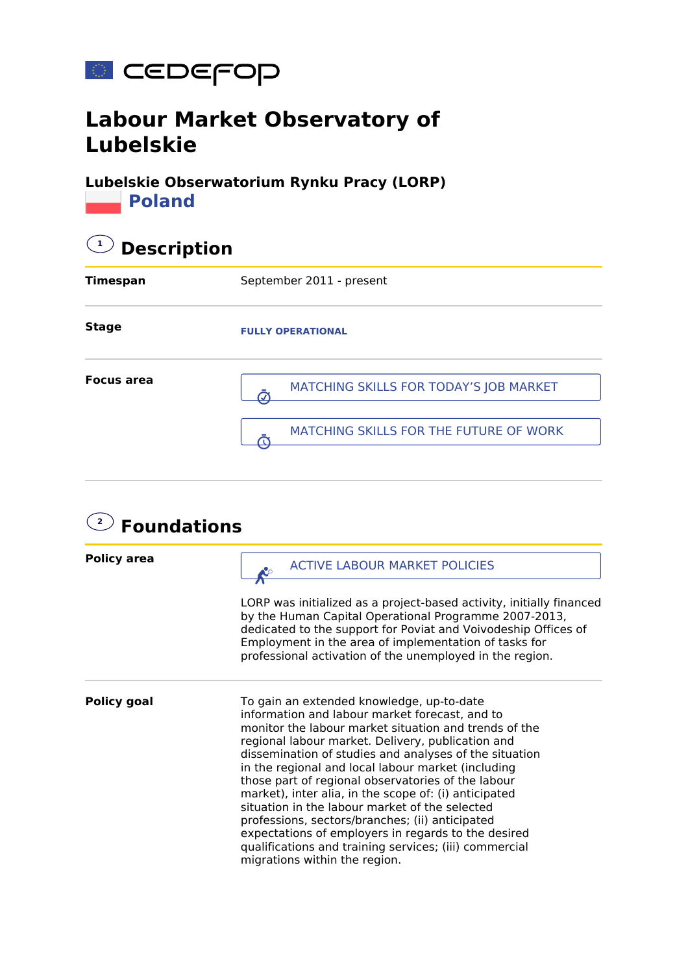

## **Labour Market Observatory of Lubelskie**

**Lubelskie Obserwatorium Rynku Pracy (LORP) Poland** 

| <b>Description</b> |                                        |  |
|--------------------|----------------------------------------|--|
| <b>Timespan</b>    | September 2011 - present               |  |
| <b>Stage</b>       | <b>FULLY OPERATIONAL</b>               |  |
| <b>Focus area</b>  | MATCHING SKILLS FOR TODAY'S JOB MARKET |  |
|                    | MATCHING SKILLS FOR THE FUTURE OF WORK |  |

| $\overline{2}$<br><b>Foundations</b> |                                                                                                                                                                                                                                                                                                                                                                                                                                                                                                                                                                                                                                                                                                 |  |
|--------------------------------------|-------------------------------------------------------------------------------------------------------------------------------------------------------------------------------------------------------------------------------------------------------------------------------------------------------------------------------------------------------------------------------------------------------------------------------------------------------------------------------------------------------------------------------------------------------------------------------------------------------------------------------------------------------------------------------------------------|--|
| <b>Policy area</b>                   | <b>ACTIVE LABOUR MARKET POLICIES</b>                                                                                                                                                                                                                                                                                                                                                                                                                                                                                                                                                                                                                                                            |  |
|                                      | LORP was initialized as a project-based activity, initially financed<br>by the Human Capital Operational Programme 2007-2013,<br>dedicated to the support for Poviat and Voivodeship Offices of<br>Employment in the area of implementation of tasks for<br>professional activation of the unemployed in the region.                                                                                                                                                                                                                                                                                                                                                                            |  |
| <b>Policy goal</b>                   | To gain an extended knowledge, up-to-date<br>information and labour market forecast, and to<br>monitor the labour market situation and trends of the<br>regional labour market. Delivery, publication and<br>dissemination of studies and analyses of the situation<br>in the regional and local labour market (including<br>those part of regional observatories of the labour<br>market), inter alia, in the scope of: (i) anticipated<br>situation in the labour market of the selected<br>professions, sectors/branches; (ii) anticipated<br>expectations of employers in regards to the desired<br>qualifications and training services; (iii) commercial<br>migrations within the region. |  |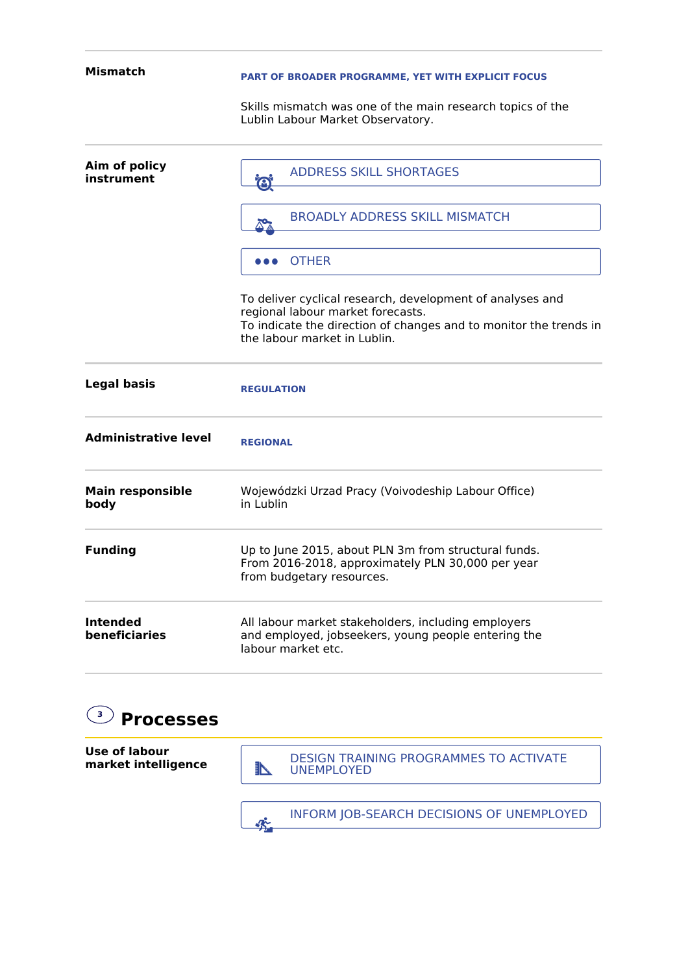| Mismatch                         | PART OF BROADER PROGRAMME, YET WITH EXPLICIT FOCUS                                                                                                                                                  |
|----------------------------------|-----------------------------------------------------------------------------------------------------------------------------------------------------------------------------------------------------|
|                                  | Skills mismatch was one of the main research topics of the<br>Lublin Labour Market Observatory.                                                                                                     |
| Aim of policy<br>instrument      | <b>ADDRESS SKILL SHORTAGES</b><br>$\bigodot$                                                                                                                                                        |
|                                  | <b>BROADLY ADDRESS SKILL MISMATCH</b>                                                                                                                                                               |
|                                  | <b>OTHER</b><br>.                                                                                                                                                                                   |
|                                  | To deliver cyclical research, development of analyses and<br>regional labour market forecasts.<br>To indicate the direction of changes and to monitor the trends in<br>the labour market in Lublin. |
| <b>Legal basis</b>               | <b>REGULATION</b>                                                                                                                                                                                   |
| <b>Administrative level</b>      | <b>REGIONAL</b>                                                                                                                                                                                     |
| <b>Main responsible</b><br>body  | Wojewódzki Urzad Pracy (Voivodeship Labour Office)<br>in Lublin                                                                                                                                     |
| <b>Funding</b>                   | Up to June 2015, about PLN 3m from structural funds.<br>From 2016-2018, approximately PLN 30,000 per year<br>from budgetary resources.                                                              |
| <b>Intended</b><br>beneficiaries | All labour market stakeholders, including employers<br>and employed, jobseekers, young people entering the<br>labour market etc.                                                                    |

## **3 Processes**

**Use of labour market intelligence**

DESIGN TRAINING PROGRAMMES TO ACTIVATE UNEMPLOYED

**INFORM JOB-SEARCH DECISIONS OF UNEMPLOYED**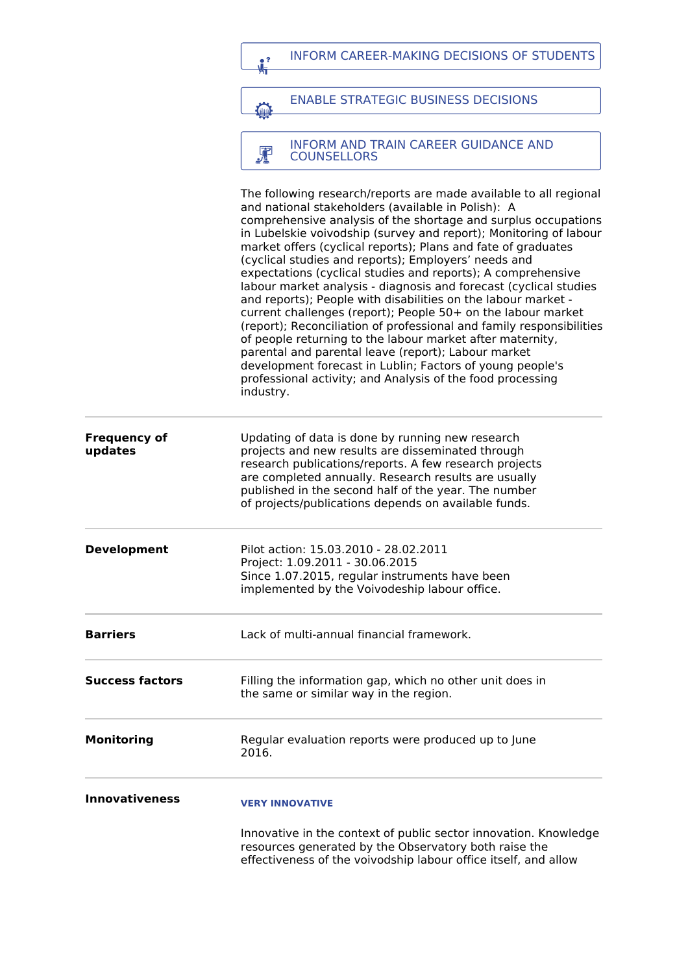|                                | <b>INFORM CAREER-MAKING DECISIONS OF STUDENTS</b><br>e ?                                                                                                                                                                                                                                                                                                                                                                                                                                                                                                                                                                                                                                                                                                                                                                                                                                                                                                                                          |
|--------------------------------|---------------------------------------------------------------------------------------------------------------------------------------------------------------------------------------------------------------------------------------------------------------------------------------------------------------------------------------------------------------------------------------------------------------------------------------------------------------------------------------------------------------------------------------------------------------------------------------------------------------------------------------------------------------------------------------------------------------------------------------------------------------------------------------------------------------------------------------------------------------------------------------------------------------------------------------------------------------------------------------------------|
|                                |                                                                                                                                                                                                                                                                                                                                                                                                                                                                                                                                                                                                                                                                                                                                                                                                                                                                                                                                                                                                   |
|                                | <b>ENABLE STRATEGIC BUSINESS DECISIONS</b><br><b>Chang</b>                                                                                                                                                                                                                                                                                                                                                                                                                                                                                                                                                                                                                                                                                                                                                                                                                                                                                                                                        |
|                                |                                                                                                                                                                                                                                                                                                                                                                                                                                                                                                                                                                                                                                                                                                                                                                                                                                                                                                                                                                                                   |
|                                | <b>INFORM AND TRAIN CAREER GUIDANCE AND</b><br>霏<br><b>COUNSELLORS</b>                                                                                                                                                                                                                                                                                                                                                                                                                                                                                                                                                                                                                                                                                                                                                                                                                                                                                                                            |
|                                | The following research/reports are made available to all regional<br>and national stakeholders (available in Polish): A<br>comprehensive analysis of the shortage and surplus occupations<br>in Lubelskie voivodship (survey and report); Monitoring of labour<br>market offers (cyclical reports); Plans and fate of graduates<br>(cyclical studies and reports); Employers' needs and<br>expectations (cyclical studies and reports); A comprehensive<br>labour market analysis - diagnosis and forecast (cyclical studies<br>and reports); People with disabilities on the labour market -<br>current challenges (report); People 50+ on the labour market<br>(report); Reconciliation of professional and family responsibilities<br>of people returning to the labour market after maternity,<br>parental and parental leave (report); Labour market<br>development forecast in Lublin; Factors of young people's<br>professional activity; and Analysis of the food processing<br>industry. |
| <b>Frequency of</b><br>updates | Updating of data is done by running new research<br>projects and new results are disseminated through<br>research publications/reports. A few research projects<br>are completed annually. Research results are usually<br>published in the second half of the year. The number<br>of projects/publications depends on available funds.                                                                                                                                                                                                                                                                                                                                                                                                                                                                                                                                                                                                                                                           |
| <b>Development</b>             | Pilot action: 15.03.2010 - 28.02.2011<br>Project: 1.09.2011 - 30.06.2015<br>Since 1.07.2015, regular instruments have been<br>implemented by the Voivodeship labour office.                                                                                                                                                                                                                                                                                                                                                                                                                                                                                                                                                                                                                                                                                                                                                                                                                       |
| <b>Barriers</b>                | Lack of multi-annual financial framework.                                                                                                                                                                                                                                                                                                                                                                                                                                                                                                                                                                                                                                                                                                                                                                                                                                                                                                                                                         |
| <b>Success factors</b>         | Filling the information gap, which no other unit does in<br>the same or similar way in the region.                                                                                                                                                                                                                                                                                                                                                                                                                                                                                                                                                                                                                                                                                                                                                                                                                                                                                                |
| Monitoring                     | Regular evaluation reports were produced up to June<br>2016.                                                                                                                                                                                                                                                                                                                                                                                                                                                                                                                                                                                                                                                                                                                                                                                                                                                                                                                                      |
| <b>Innovativeness</b>          | <b>VERY INNOVATIVE</b>                                                                                                                                                                                                                                                                                                                                                                                                                                                                                                                                                                                                                                                                                                                                                                                                                                                                                                                                                                            |
|                                | Innovative in the context of public sector innovation. Knowledge<br>resources generated by the Observatory both raise the<br>effectiveness of the voivodship labour office itself, and allow                                                                                                                                                                                                                                                                                                                                                                                                                                                                                                                                                                                                                                                                                                                                                                                                      |